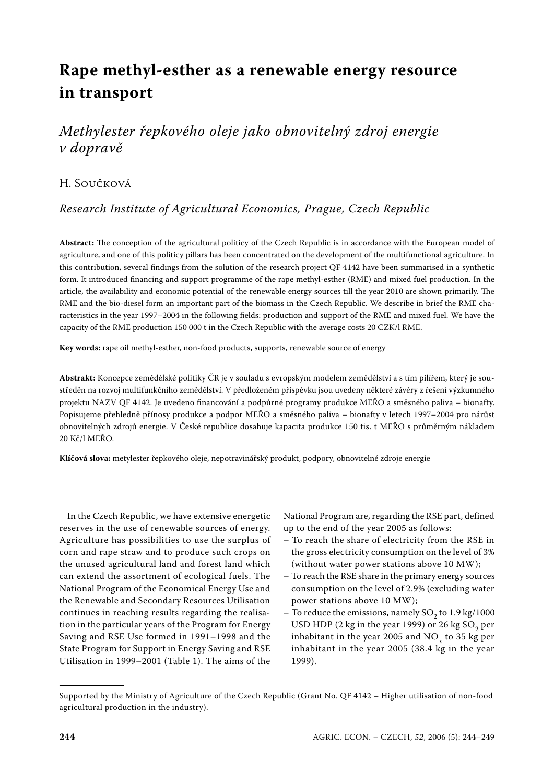# **Rape methyl-esther as a renewable energy resource in transport**

## *Methylester řepkového oleje jako obnovitelný zdroj energie v dopravě*

## H. SOUČKOVÁ

## *Research Institute of Agricultural Economics, Prague, Czech Republic*

**Abstract:** The conception of the agricultural politicy of the Czech Republic is in accordance with the European model of agriculture, and one of this politicy pillars has been concentrated on the development of the multifunctional agriculture. In this contribution, several findings from the solution of the research project QF 4142 have been summarised in a synthetic form. It introduced financing and support programme of the rape methyl-esther (RME) and mixed fuel production. In the article, the availability and economic potential of the renewable energy sources till the year 2010 are shown primarily. The RME and the bio-diesel form an important part of the biomass in the Czech Republic. We describe in brief the RME characteristics in the year 1997–2004 in the following fields: production and support of the RME and mixed fuel. We have the capacity of the RME production 150 000 t in the Czech Republic with the average costs 20 CZK/l RME.

**Key words:** rape oil methyl-esther, non-food products, supports, renewable source of energy

**Abstrakt:** Koncepce zemědělské politiky ČR je v souladu s evropským modelem zemědělství a s tím pilířem, který je soustředěn na rozvoj multifunkčního zemědělství. V předloženém příspěvku jsou uvedeny některé závěry z řešení výzkumného projektu NAZV QF 4142. Je uvedeno financování a podpůrné programy produkce MEŘO a směsného paliva – bionafty. Popisujeme přehledně přínosy produkce a podpor MEŘO a směsného paliva – bionafty v letech 1997–2004 pro nárůst obnovitelných zdrojů energie. V České republice dosahuje kapacita produkce 150 tis. t MEŘO s průměrným nákladem 20 Kč/l MEŘO.

**Klíčová slova:** metylester řepkového oleje, nepotravinářský produkt, podpory, obnovitelné zdroje energie

In the Czech Republic, we have extensive energetic reserves in the use of renewable sources of energy. Agriculture has possibilities to use the surplus of corn and rape straw and to produce such crops on the unused agricultural land and forest land which can extend the assortment of ecological fuels. The National Program of the Economical Energy Use and the Renewable and Secondary Resources Utilisation continues in reaching results regarding the realisation in the particular years of the Program for Energy Saving and RSE Use formed in 1991–1998 and the State Program for Support in Energy Saving and RSE Utilisation in 1999–2001 (Table 1). The aims of the National Program are, regarding the RSE part, defined up to the end of the year 2005 as follows:

- To reach the share of electricity from the RSE in the gross electricity consumption on the level of 3% (without water power stations above 10 MW);
- To reach the RSE share in the primary energy sources consumption on the level of 2.9% (excluding water power stations above 10 MW);
- To reduce the emissions, namely  $SO<sub>2</sub>$  to 1.9 kg/1000 USD HDP (2 kg in the year 1999) or 26 kg SO<sub>2</sub> per inhabitant in the year 2005 and  $NO<sub>x</sub>$  to 35 kg per inhabitant in the year 2005 (38.4 kg in the year 1999).

Supported by the Ministry of Agriculture of the Czech Republic (Grant No. QF 4142 – Higher utilisation of non-food agricultural production in the industry).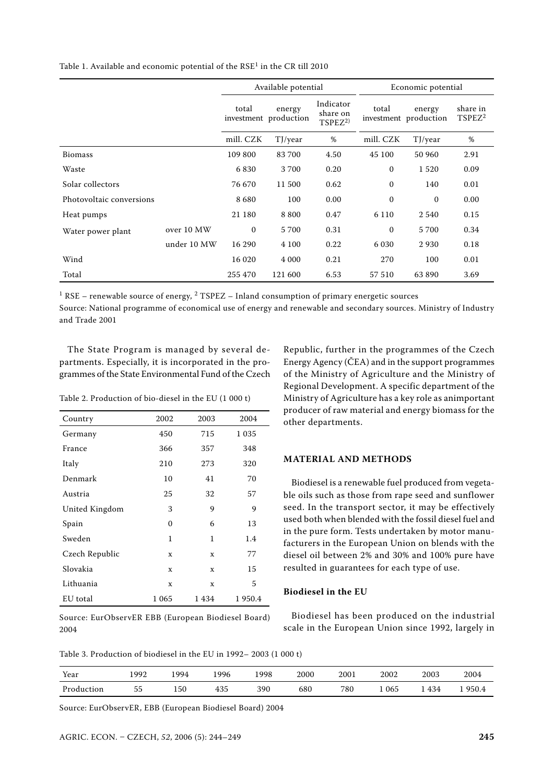| Table 1. Available and economic potential of the $RSE1$ in the CR till 2010 |  |  |
|-----------------------------------------------------------------------------|--|--|
|-----------------------------------------------------------------------------|--|--|

|                          |             | Available potential |                                 |                                             | Economic potential |                                 |                                |
|--------------------------|-------------|---------------------|---------------------------------|---------------------------------------------|--------------------|---------------------------------|--------------------------------|
|                          |             | total               | energy<br>investment production | Indicator<br>share on<br>TSPEZ <sup>2</sup> | total              | energy<br>investment production | share in<br>TSPEZ <sup>2</sup> |
|                          |             | mill. CZK           | TJ/year                         | %                                           | mill. CZK          | TJ/year                         | %                              |
| <b>Biomass</b>           |             | 109 800             | 83700                           | 4.50                                        | 45 100             | 50 960                          | 2.91                           |
| Waste                    |             | 6830                | 3700                            | 0.20                                        | $\mathbf{0}$       | 1520                            | 0.09                           |
| Solar collectors         |             | 76 670              | 11 500                          | 0.62                                        | $\Omega$           | 140                             | 0.01                           |
| Photovoltaic conversions |             | 8680                | 100                             | 0.00                                        | $\Omega$           | $\mathbf{0}$                    | 0.00                           |
| Heat pumps               |             | 21 180              | 8 8 0 0                         | 0.47                                        | 6 1 1 0            | 2 5 4 0                         | 0.15                           |
| Water power plant        | over 10 MW  | $\mathbf{0}$        | 5 700                           | 0.31                                        | $\Omega$           | 5 700                           | 0.34                           |
|                          | under 10 MW | 16 290              | 4 100                           | 0.22                                        | 6 0 3 0            | 2930                            | 0.18                           |
| Wind                     |             | 16 0 20             | 4 0 0 0                         | 0.21                                        | 270                | 100                             | 0.01                           |
| Total                    |             | 255 470             | 121 600                         | 6.53                                        | 57 510             | 63890                           | 3.69                           |

<sup>1</sup> RSE – renewable source of energy, <sup>2</sup> TSPEZ – Inland consumption of primary energetic sources

Source: National programme of economical use of energy and renewable and secondary sources. Ministry of Industry and Trade 2001

The State Program is managed by several departments. Especially, it is incorporated in the programmes of the State Environmental Fund of the Czech

Table 2. Production of bio-diesel in the EU (1 000 t)

|                | 2002     | 2003         | 2004    |
|----------------|----------|--------------|---------|
| Country        |          |              |         |
| Germany        | 450      | 715          | 1 0 3 5 |
| France         | 366      | 357          | 348     |
| Italy          | 210      | 273          | 320     |
| Denmark        | 10       | 41           | 70      |
| Austria        | 25       | 32           | 57      |
| United Kingdom | 3        | 9            | 9       |
| Spain          | $\Omega$ | 6            | 13      |
| Sweden         | 1        | 1            | 1.4     |
| Czech Republic | X        | X            | 77      |
| Slovakia       | X        | X            | 15      |
| Lithuania      | X        | $\mathbf{x}$ | 5       |
| EU total       | 1 065    | 1434         | 1950.4  |

Source: EurObservER EBB (European Biodiesel Board) 2004

Republic, further in the programmes of the Czech Energy Agency (ČEA) and in the support programmes of the Ministry of Agriculture and the Ministry of Regional Development. A specific department of the Ministry of Agriculture has a key role as animportant producer of raw material and energy biomass for the other departments.

#### **MATERIAL AND METHODS**

Biodiesel is a renewable fuel produced from vegetable oils such as those from rape seed and sunflower seed. In the transport sector, it may be effectively used both when blended with the fossil diesel fuel and in the pure form. Tests undertaken by motor manufacturers in the European Union on blends with the diesel oil between 2% and 30% and 100% pure have resulted in guarantees for each type of use.

#### **Biodiesel in the EU**

Biodiesel has been produced on the industrial scale in the European Union since 1992, largely in

Table 3. Production of biodiesel in the EU in 1992– 2003 (1 000 t)

| Year       | .992     | '994 | '996 | '998 | 2000 | 2001 | 2002 | 2003 | 2004  |
|------------|----------|------|------|------|------|------|------|------|-------|
| Production | --<br>ככ | 150  | 435  | 390  | 680  | 780  | 065  | 434  | 950.4 |

Source: EurObservER, EBB (European Biodiesel Board) 2004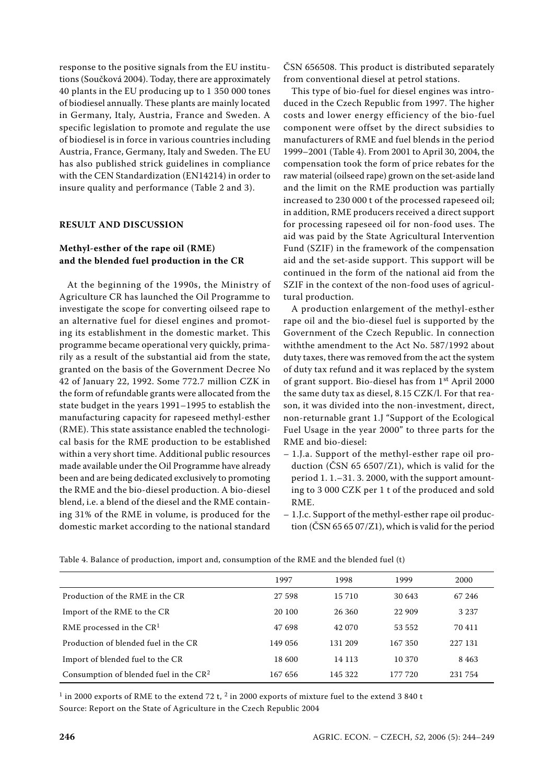response to the positive signals from the EU institutions (Součková 2004). Today, there are approximately 40 plants in the EU producing up to 1 350 000 tones of biodiesel annually. These plants are mainly located in Germany, Italy, Austria, France and Sweden. A specific legislation to promote and regulate the use of biodiesel is in force in various countries including Austria, France, Germany, Italy and Sweden. The EU has also published strick guidelines in compliance with the CEN Standardization (EN14214) in order to insure quality and performance (Table 2 and 3).

#### **RESULT AND DISCUSSION**

### **Methyl-esther of the rape oil (RME) and the blended fuel production in the CR**

At the beginning of the 1990s, the Ministry of Agriculture CR has launched the Oil Programme to investigate the scope for converting oilseed rape to an alternative fuel for diesel engines and promoting its establishment in the domestic market. This programme became operational very quickly, primarily as a result of the substantial aid from the state, granted on the basis of the Government Decree No 42 of January 22, 1992. Some 772.7 million CZK in the form of refundable grants were allocated from the state budget in the years 1991–1995 to establish the manufacturing capacity for rapeseed methyl-esther (RME). This state assistance enabled the technological basis for the RME production to be established within a very short time. Additional public resources made available under the Oil Programme have already been and are being dedicated exclusively to promoting the RME and the bio-diesel production. A bio-diesel blend, i.e. a blend of the diesel and the RME containing 31% of the RME in volume, is produced for the domestic market according to the national standard

ČSN 656508. This product is distributed separately from conventional diesel at petrol stations.

This type of bio-fuel for diesel engines was introduced in the Czech Republic from 1997. The higher costs and lower energy efficiency of the bio-fuel component were offset by the direct subsidies to manufacturers of RME and fuel blends in the period 1999–2001 (Table 4). From 2001 to April 30, 2004, the compensation took the form of price rebates for the raw material (oilseed rape) grown on the set-aside land and the limit on the RME production was partially increased to 230 000 t of the processed rapeseed oil; in addition, RME producers received a direct support for processing rapeseed oil for non-food uses. The aid was paid by the State Agricultural Intervention Fund (SZIF) in the framework of the compensation aid and the set-aside support. This support will be continued in the form of the national aid from the SZIF in the context of the non-food uses of agricultural production.

A production enlargement of the methyl-esther rape oil and the bio-diesel fuel is supported by the Government of the Czech Republic. In connection withthe amendment to the Act No. 587/1992 about duty taxes, there was removed from the act the system of duty tax refund and it was replaced by the system of grant support. Bio-diesel has from 1st April 2000 the same duty tax as diesel, 8.15 CZK/l. For that reason, it was divided into the non-investment, direct, non-returnable grant 1.J "Support of the Ecological Fuel Usage in the year 2000" to three parts for the RME and bio-diesel:

- 1.J.a. Support of the methyl-esther rape oil production (ČSN 65 6507/Z1), which is valid for the period 1. 1.–31. 3. 2000, with the support amounting to 3 000 CZK per 1 t of the produced and sold RME.
- 1.J.c. Support of the methyl-esther rape oil production (ČSN 65 65 07/Z1), which is valid for the period

|                                          | 1997    | 1998     | 1999    | 2000    |
|------------------------------------------|---------|----------|---------|---------|
| Production of the RME in the CR          | 27 598  | 15 7 10  | 30 643  | 67 246  |
| Import of the RME to the CR              | 20 100  | 26 360   | 22 909  | 3 2 3 7 |
| RME processed in the $CR1$               | 47 698  | 42.070   | 53 552  | 70 411  |
| Production of blended fuel in the CR     | 149 056 | 131 209  | 167 350 | 227 131 |
| Import of blended fuel to the CR         | 18 600  | 14 1 1 3 | 10 370  | 8463    |
| Consumption of blended fuel in the $CR2$ | 167 656 | 145 322  | 177 720 | 231 754 |

Table 4. Balance of production, import and, consumption of the RME and the blended fuel (t)

<sup>1</sup> in 2000 exports of RME to the extend 72 t, <sup>2</sup> in 2000 exports of mixture fuel to the extend 3 840 t Source: Report on the State of Agriculture in the Czech Republic 2004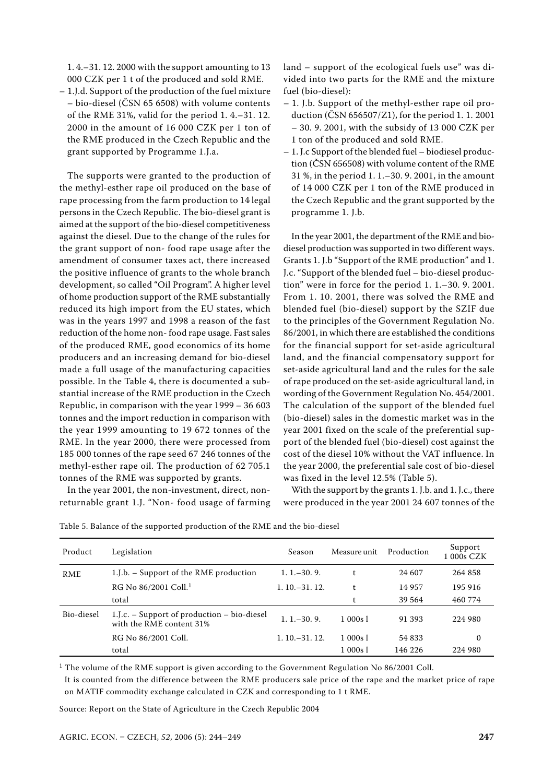1. 4.–31. 12. 2000 with the support amounting to 13 000 CZK per 1 t of the produced and sold RME.

– 1.J.d. Support of the production of the fuel mixture – bio-diesel (ČSN 65 6508) with volume contents of the RME 31%, valid for the period 1. 4.–31. 12. 2000 in the amount of 16 000 CZK per 1 ton of the RME produced in the Czech Republic and the grant supported by Programme 1.J.a.

The supports were granted to the production of the methyl-esther rape oil produced on the base of rape processing from the farm production to 14 legal persons in the Czech Republic. The bio-diesel grant is aimed at the support of the bio-diesel competitiveness against the diesel. Due to the change of the rules for the grant support of non- food rape usage after the amendment of consumer taxes act, there increased the positive influence of grants to the whole branch development, so called "Oil Program". A higher level of home production support of the RME substantially reduced its high import from the EU states, which was in the years 1997 and 1998 a reason of the fast reduction of the home non- food rape usage. Fast sales of the produced RME, good economics of its home producers and an increasing demand for bio-diesel made a full usage of the manufacturing capacities possible. In the Table 4, there is documented a substantial increase of the RME production in the Czech Republic, in comparison with the year 1999 – 36 603 tonnes and the import reduction in comparison with the year 1999 amounting to 19 672 tonnes of the RME. In the year 2000, there were processed from 185 000 tonnes of the rape seed 67 246 tonnes of the methyl-esther rape oil. The production of 62 705.1 tonnes of the RME was supported by grants.

In the year 2001, the non-investment, direct, nonreturnable grant 1.J. "Non- food usage of farming land – support of the ecological fuels use" was divided into two parts for the RME and the mixture fuel (bio-diesel):

- 1. J.b. Support of the methyl-esther rape oil production (ČSN 656507/Z1), for the period 1. 1. 2001 – 30. 9. 2001, with the subsidy of 13 000 CZK per 1 ton of the produced and sold RME.
- 1. J.c Support of the blended fuel biodiesel production (ČSN 656508) with volume content of the RME 31 %, in the period 1. 1.–30. 9. 2001, in the amount of 14 000 CZK per 1 ton of the RME produced in the Czech Republic and the grant supported by the programme 1. J.b.

In the year 2001, the department of the RME and biodiesel production was supported in two different ways. Grants 1. J.b "Support of the RME production" and 1. J.c. "Support of the blended fuel – bio-diesel production" were in force for the period 1. 1.–30. 9. 2001. From 1. 10. 2001, there was solved the RME and blended fuel (bio-diesel) support by the SZIF due to the principles of the Government Regulation No. 86/2001, in which there are established the conditions for the financial support for set-aside agricultural land, and the financial compensatory support for set-aside agricultural land and the rules for the sale of rape produced on the set-aside agricultural land, in wording of the Government Regulation No. 454/2001. The calculation of the support of the blended fuel (bio-diesel) sales in the domestic market was in the year 2001 fixed on the scale of the preferential support of the blended fuel (bio-diesel) cost against the cost of the diesel 10% without the VAT influence. In the year 2000, the preferential sale cost of bio-diesel was fixed in the level 12.5% (Table 5).

With the support by the grants 1. J.b. and 1. J.c., there were produced in the year 2001 24 607 tonnes of the

| Product    | Legislation                                                                 | Season           | Measure unit | Production | Support<br>1 000s CZK |
|------------|-----------------------------------------------------------------------------|------------------|--------------|------------|-----------------------|
| <b>RME</b> | 1.J.b. – Support of the RME production                                      | $1, 1, -30, 9$ . | t            | 24 607     | 264 858               |
|            | RG No $86/2001$ Coll. <sup>1</sup>                                          | $1.10 - 31.12$   | t            | 14 957     | 195 916               |
|            | total                                                                       |                  |              | 39 564     | 460 774               |
| Bio-diesel | 1.J.c. $-$ Support of production $-$ bio-diesel<br>with the RME content 31% | $1.1 - 30.9$     | 1000s1       | 91 393     | 224 980               |
|            | RG No 86/2001 Coll.                                                         | $1.10 - 31.12$   | 1.000s1      | 54 833     | $\Omega$              |
|            | total                                                                       |                  | 1 000s l     | 146 226    | 224 980               |

Table 5. Balance of the supported production of the RME and the bio-diesel

<sup>1</sup> The volume of the RME support is given according to the Government Regulation No 86/2001 Coll.

It is counted from the difference between the RME producers sale price of the rape and the market price of rape on MATIF commodity exchange calculated in CZK and corresponding to 1 t RME.

Source: Report on the State of Agriculture in the Czech Republic 2004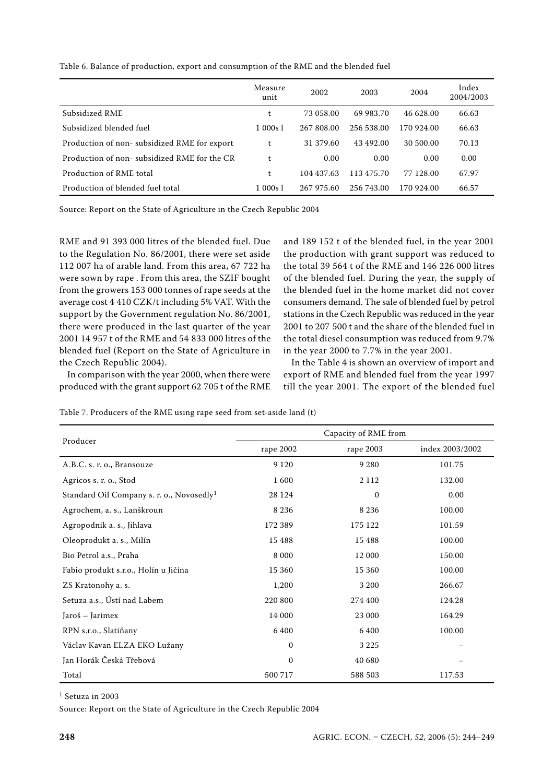|                                             | Measure<br>unit | 2002       | 2003       | 2004       | Index<br>2004/2003 |
|---------------------------------------------|-----------------|------------|------------|------------|--------------------|
| Subsidized RME                              | t               | 73 058,00  | 69 983.70  | 46 628.00  | 66.63              |
| Subsidized blended fuel                     | 1000s1          | 267 808.00 | 256 538.00 | 170 924.00 | 66.63              |
| Production of non-subsidized RME for export | t               | 31 379.60  | 43 492.00  | 30 500.00  | 70.13              |
| Production of non-subsidized RME for the CR | t               | 0.00       | 0.00       | 0.00       | 0.00               |
| Production of RME total                     | t               | 104 437.63 | 113 475.70 | 77 128.00  | 67.97              |
| Production of blended fuel total            | 1 000s l        | 267 975.60 | 256 743.00 | 170 924.00 | 66.57              |

Table 6. Balance of production, export and consumption of the RME and the blended fuel

Source: Report on the State of Agriculture in the Czech Republic 2004

RME and 91 393 000 litres of the blended fuel. Due to the Regulation No. 86/2001, there were set aside 112 007 ha of arable land. From this area, 67 722 ha were sown by rape . From this area, the SZIF bought from the growers 153 000 tonnes of rape seeds at the average cost 4 410 CZK/t including 5% VAT. With the support by the Government regulation No. 86/2001, there were produced in the last quarter of the year 2001 14 957 t of the RME and 54 833 000 litres of the blended fuel (Report on the State of Agriculture in the Czech Republic 2004).

In comparison with the year 2000, when there were produced with the grant support 62 705 t of the RME and 189 152 t of the blended fuel, in the year 2001 the production with grant support was reduced to the total 39 564 t of the RME and 146 226 000 litres of the blended fuel. During the year, the supply of the blended fuel in the home market did not cover consumers demand. The sale of blended fuel by petrol stations in the Czech Republic was reduced in the year 2001 to 207 500 t and the share of the blended fuel in the total diesel consumption was reduced from 9.7% in the year 2000 to 7.7% in the year 2001.

In the Table 4 is shown an overview of import and export of RME and blended fuel from the year 1997 till the year 2001. The export of the blended fuel

| Table 7. Producers of the RME using rape seed from set-aside land (t) |  |
|-----------------------------------------------------------------------|--|
|-----------------------------------------------------------------------|--|

|                                                       | Capacity of RME from |             |                 |  |  |
|-------------------------------------------------------|----------------------|-------------|-----------------|--|--|
| Producer                                              | rape 2002            | rape 2003   | index 2003/2002 |  |  |
| A.B.C. s. r. o., Bransouze                            | 9 1 2 0              | 9 2 8 0     | 101.75          |  |  |
| Agricos s. r. o., Stod                                | 1600                 | 2 1 1 2     | 132.00          |  |  |
| Standard Oil Company s. r. o., Novosedly <sup>1</sup> | 28 1 24              | $\mathbf 0$ | 0.00            |  |  |
| Agrochem, a. s., Lanškroun                            | 8 2 3 6              | 8 2 3 6     | 100.00          |  |  |
| Agropodnik a. s., Jihlava                             | 172 389              | 175 122     | 101.59          |  |  |
| Oleoprodukt a. s., Milín                              | 15 4 8 8             | 15 4 88     | 100.00          |  |  |
| Bio Petrol a.s., Praha                                | 8 0 0 0              | 12 000      | 150.00          |  |  |
| Fabio produkt s.r.o., Holín u Jičína                  | 15 360               | 15 360      | 100.00          |  |  |
| ZS Kratonohy a. s.                                    | 1,200                | 3 2 0 0     | 266.67          |  |  |
| Setuza a.s., Ústí nad Labem                           | 220 800              | 274 400     | 124.28          |  |  |
| Jaroš – Jarimex                                       | 14 000               | 23 000      | 164.29          |  |  |
| RPN s.r.o., Slatiňany                                 | 6 4 0 0              | 6 400       | 100.00          |  |  |
| Václav Kavan ELZA EKO Lužany                          | $\mathbf{0}$         | 3 2 2 5     |                 |  |  |
| Jan Horák Česká Třebová                               | $\mathbf{0}$         | 40 680      |                 |  |  |
| Total                                                 | 500 717              | 588 503     | 117.53          |  |  |

 $^1$  Setuza in 2003

Source: Report on the State of Agriculture in the Czech Republic 2004